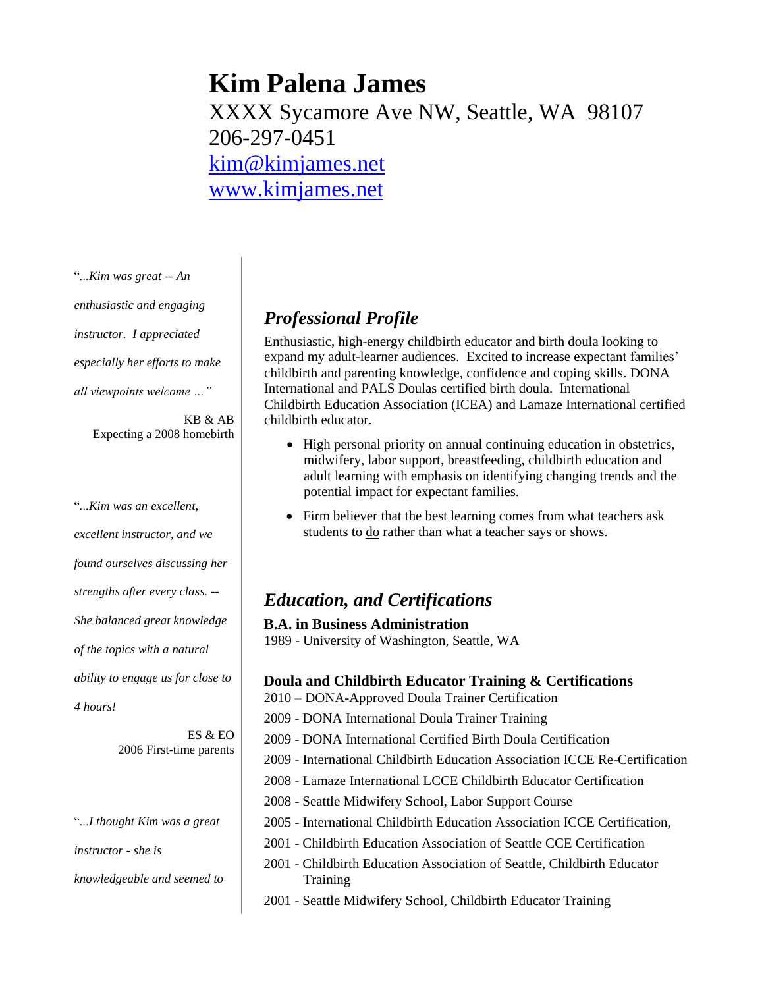# **Kim Palena James**

XXXX Sycamore Ave NW, Seattle, WA 98107 206-297-0451 [kim@kimjames.net](mailto:kim@kimjames.net) [www.kimjames.net](http://www.kimjames.net/)

"...*Kim was great -- An enthusiastic and engaging instructor. I appreciated especially her efforts to make all viewpoints welcome …"* 

KB & AB Expecting a 2008 homebirth

"...*Kim was an excellent, excellent instructor, and we found ourselves discussing her strengths after every class. -- She balanced great knowledge of the topics with a natural ability to engage us for close to 4 hours!* 

> ES & EO 2006 First-time parents

"...*I thought Kim was a great instructor - she is knowledgeable and seemed to* 

## *Professional Profile*

Enthusiastic, high-energy childbirth educator and birth doula looking to expand my adult-learner audiences. Excited to increase expectant families' childbirth and parenting knowledge, confidence and coping skills. DONA International and PALS Doulas certified birth doula. International Childbirth Education Association (ICEA) and Lamaze International certified childbirth educator.

- High personal priority on annual continuing education in obstetrics, midwifery, labor support, breastfeeding, childbirth education and adult learning with emphasis on identifying changing trends and the potential impact for expectant families.
- Firm believer that the best learning comes from what teachers ask students to do rather than what a teacher says or shows.

## *Education, and Certifications*

**B.A. in Business Administration** 1989 - University of Washington, Seattle, WA

#### **Doula and Childbirth Educator Training & Certifications**

- 2010 DONA-Approved Doula Trainer Certification
- 2009 DONA International Doula Trainer Training
- 2009 DONA International Certified Birth Doula Certification
- 2009 International Childbirth Education Association ICCE Re-Certification
- 2008 Lamaze International LCCE Childbirth Educator Certification
- 2008 Seattle Midwifery School, Labor Support Course
- 2005 International Childbirth Education Association ICCE Certification,
- 2001 Childbirth Education Association of Seattle CCE Certification
- 2001 Childbirth Education Association of Seattle, Childbirth Educator **Training**
- 2001 Seattle Midwifery School, Childbirth Educator Training